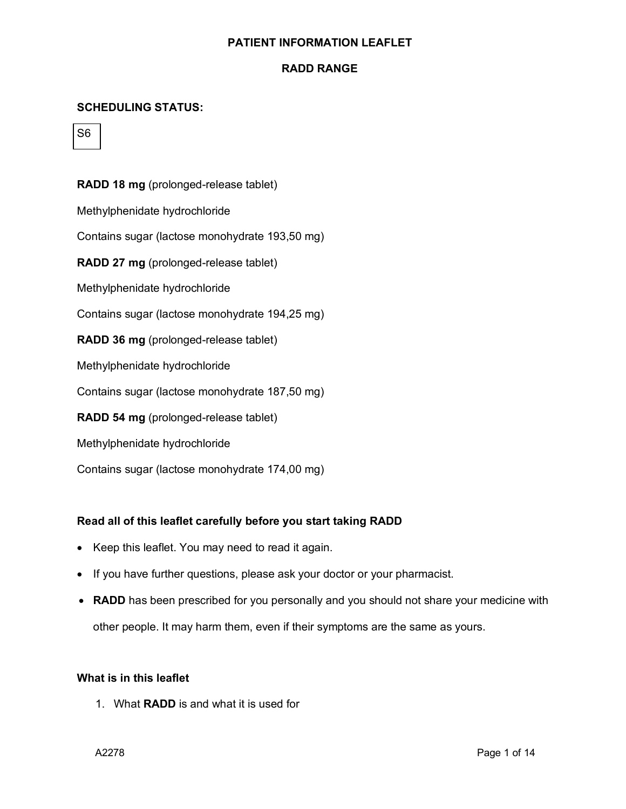### **RADD RANGE**

## **SCHEDULING STATUS:**



## **RADD 18 mg** (prolonged-release tablet)

Methylphenidate hydrochloride

Contains sugar (lactose monohydrate 193,50 mg)

**RADD 27 mg** (prolonged-release tablet)

Methylphenidate hydrochloride

Contains sugar (lactose monohydrate 194,25 mg)

**RADD 36 mg** (prolonged-release tablet)

Methylphenidate hydrochloride

Contains sugar (lactose monohydrate 187,50 mg)

**RADD 54 mg** (prolonged-release tablet)

Methylphenidate hydrochloride

Contains sugar (lactose monohydrate 174,00 mg)

### **Read all of this leaflet carefully before you start taking RADD**

- Keep this leaflet. You may need to read it again.
- If you have further questions, please ask your doctor or your pharmacist.
- **RADD** has been prescribed for you personally and you should not share your medicine with other people. It may harm them, even if their symptoms are the same as yours.

#### **What is in this leaflet**

1. What **RADD** is and what it is used for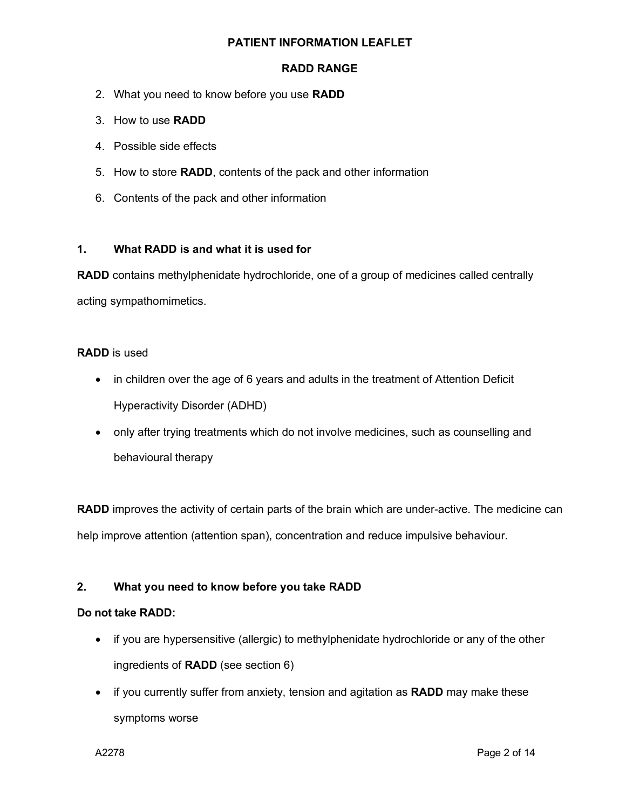### **RADD RANGE**

- 2. What you need to know before you use **RADD**
- 3. How to use **RADD**
- 4. Possible side effects
- 5. How to store **RADD**, contents of the pack and other information
- 6. Contents of the pack and other information

## **1. What RADD is and what it is used for**

**RADD** contains methylphenidate hydrochloride, one of a group of medicines called centrally acting sympathomimetics.

### **RADD** is used

- in children over the age of 6 years and adults in the treatment of Attention Deficit Hyperactivity Disorder (ADHD)
- only after trying treatments which do not involve medicines, such as counselling and behavioural therapy

**RADD** improves the activity of certain parts of the brain which are under-active. The medicine can help improve attention (attention span), concentration and reduce impulsive behaviour.

# **2. What you need to know before you take RADD**

### **Do not take RADD:**

- if you are hypersensitive (allergic) to methylphenidate hydrochloride or any of the other ingredients of **RADD** (see section 6)
- if you currently suffer from anxiety, tension and agitation as **RADD** may make these symptoms worse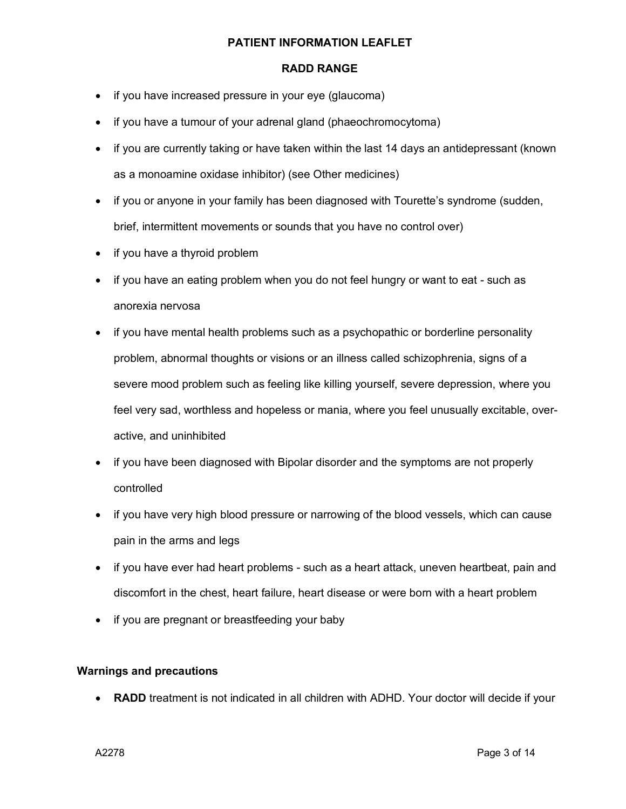### **RADD RANGE**

- if you have increased pressure in your eye (glaucoma)
- if you have a tumour of your adrenal gland (phaeochromocytoma)
- if you are currently taking or have taken within the last 14 days an antidepressant (known as a monoamine oxidase inhibitor) (see Other medicines)
- if you or anyone in your family has been diagnosed with Tourette's syndrome (sudden, brief, intermittent movements or sounds that you have no control over)
- if you have a thyroid problem
- if you have an eating problem when you do not feel hungry or want to eat such as anorexia nervosa
- if you have mental health problems such as a psychopathic or borderline personality problem, abnormal thoughts or visions or an illness called schizophrenia, signs of a severe mood problem such as feeling like killing yourself, severe depression, where you feel very sad, worthless and hopeless or mania, where you feel unusually excitable, overactive, and uninhibited
- if you have been diagnosed with Bipolar disorder and the symptoms are not properly controlled
- if you have very high blood pressure or narrowing of the blood vessels, which can cause pain in the arms and legs
- if you have ever had heart problems such as a heart attack, uneven heartbeat, pain and discomfort in the chest, heart failure, heart disease or were born with a heart problem
- if you are pregnant or breastfeeding your baby

### **Warnings and precautions**

• **RADD** treatment is not indicated in all children with ADHD. Your doctor will decide if your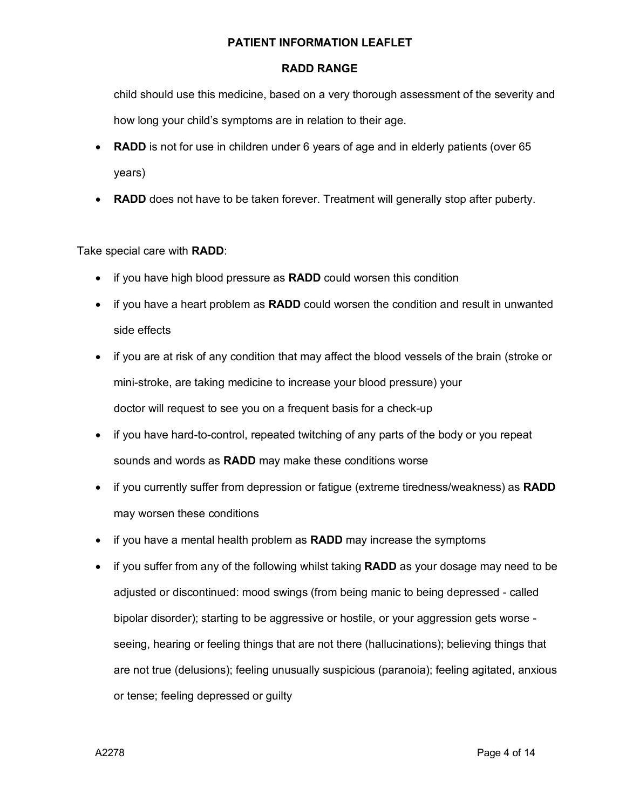### **RADD RANGE**

child should use this medicine, based on a very thorough assessment of the severity and how long your child's symptoms are in relation to their age.

- **RADD** is not for use in children under 6 years of age and in elderly patients (over 65 years)
- **RADD** does not have to be taken forever. Treatment will generally stop after puberty.

Take special care with **RADD**:

- if you have high blood pressure as **RADD** could worsen this condition
- if you have a heart problem as **RADD** could worsen the condition and result in unwanted side effects
- if you are at risk of any condition that may affect the blood vessels of the brain (stroke or mini-stroke, are taking medicine to increase your blood pressure) your doctor will request to see you on a frequent basis for a check-up
- if you have hard-to-control, repeated twitching of any parts of the body or you repeat sounds and words as **RADD** may make these conditions worse
- if you currently suffer from depression or fatigue (extreme tiredness/weakness) as **RADD** may worsen these conditions
- if you have a mental health problem as **RADD** may increase the symptoms
- if you suffer from any of the following whilst taking **RADD** as your dosage may need to be adjusted or discontinued: mood swings (from being manic to being depressed - called bipolar disorder); starting to be aggressive or hostile, or your aggression gets worse seeing, hearing or feeling things that are not there (hallucinations); believing things that are not true (delusions); feeling unusually suspicious (paranoia); feeling agitated, anxious or tense; feeling depressed or guilty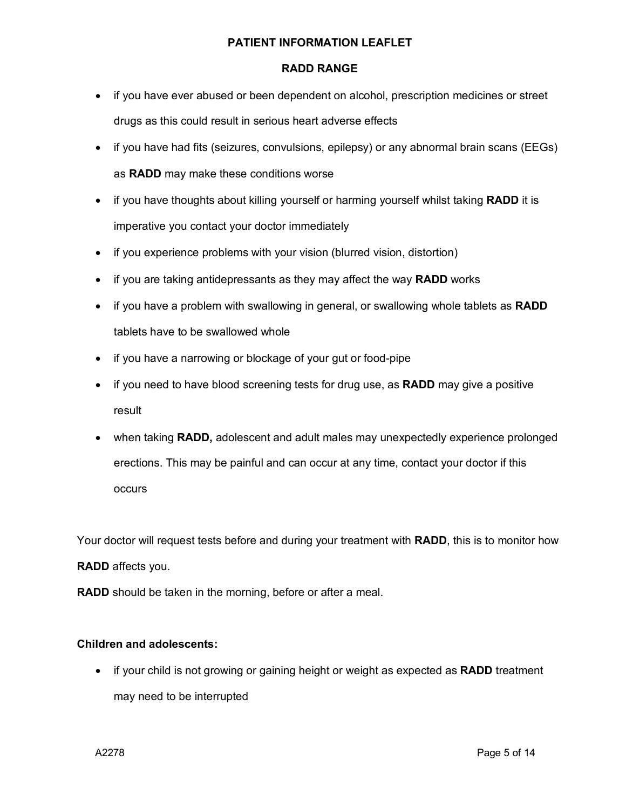### **RADD RANGE**

- if you have ever abused or been dependent on alcohol, prescription medicines or street drugs as this could result in serious heart adverse effects
- if you have had fits (seizures, convulsions, epilepsy) or any abnormal brain scans (EEGs) as **RADD** may make these conditions worse
- if you have thoughts about killing yourself or harming yourself whilst taking **RADD** it is imperative you contact your doctor immediately
- if you experience problems with your vision (blurred vision, distortion)
- if you are taking antidepressants as they may affect the way **RADD** works
- if you have a problem with swallowing in general, or swallowing whole tablets as **RADD** tablets have to be swallowed whole
- if you have a narrowing or blockage of your gut or food-pipe
- if you need to have blood screening tests for drug use, as **RADD** may give a positive result
- when taking **RADD,** adolescent and adult males may unexpectedly experience prolonged erections. This may be painful and can occur at any time, contact your doctor if this occurs

Your doctor will request tests before and during your treatment with **RADD**, this is to monitor how

### **RADD** affects you.

**RADD** should be taken in the morning, before or after a meal.

### **Children and adolescents:**

• if your child is not growing or gaining height or weight as expected as **RADD** treatment may need to be interrupted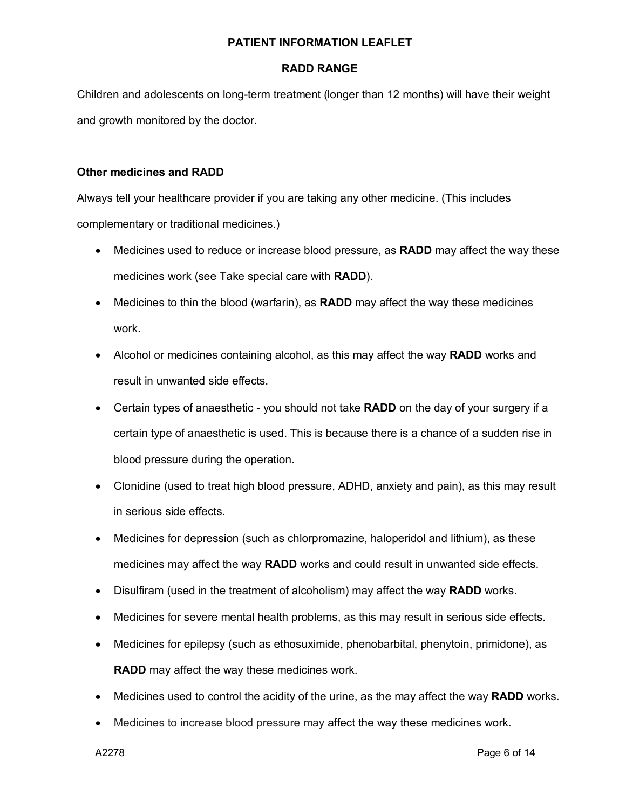### **RADD RANGE**

Children and adolescents on long-term treatment (longer than 12 months) will have their weight and growth monitored by the doctor.

### **Other medicines and RADD**

Always tell your healthcare provider if you are taking any other medicine. (This includes complementary or traditional medicines.)

- Medicines used to reduce or increase blood pressure, as **RADD** may affect the way these medicines work (see Take special care with **RADD**).
- Medicines to thin the blood (warfarin), as **RADD** may affect the way these medicines work.
- Alcohol or medicines containing alcohol, as this may affect the way **RADD** works and result in unwanted side effects.
- Certain types of anaesthetic you should not take **RADD** on the day of your surgery if a certain type of anaesthetic is used. This is because there is a chance of a sudden rise in blood pressure during the operation.
- Clonidine (used to treat high blood pressure, ADHD, anxiety and pain), as this may result in serious side effects.
- Medicines for depression (such as chlorpromazine, haloperidol and lithium), as these medicines may affect the way **RADD** works and could result in unwanted side effects.
- Disulfiram (used in the treatment of alcoholism) may affect the way **RADD** works.
- Medicines for severe mental health problems, as this may result in serious side effects.
- Medicines for epilepsy (such as ethosuximide, phenobarbital, phenytoin, primidone), as **RADD** may affect the way these medicines work.
- Medicines used to control the acidity of the urine, as the may affect the way **RADD** works.
- Medicines to increase blood pressure may affect the way these medicines work.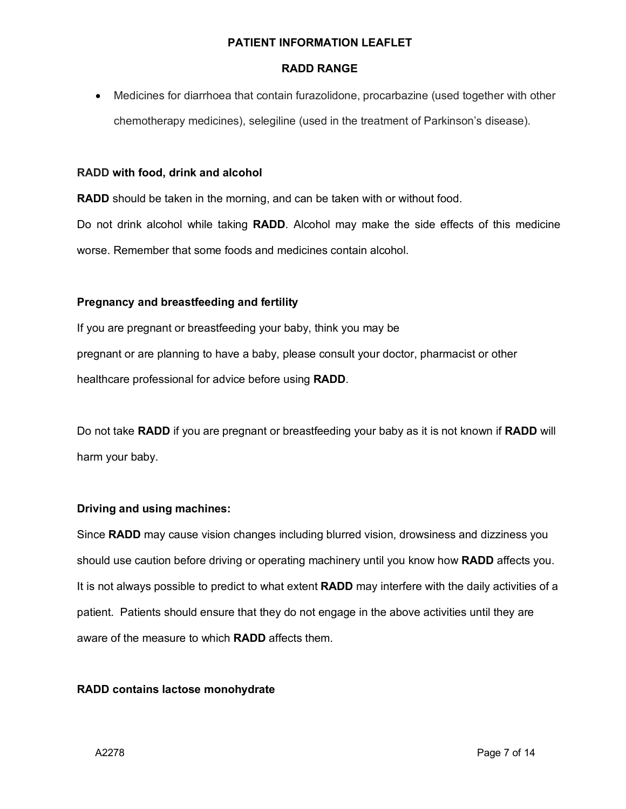## **RADD RANGE**

• Medicines for diarrhoea that contain furazolidone, procarbazine (used together with other chemotherapy medicines), selegiline (used in the treatment of Parkinson's disease).

### **RADD with food, drink and alcohol**

**RADD** should be taken in the morning, and can be taken with or without food.

Do not drink alcohol while taking **RADD**. Alcohol may make the side effects of this medicine worse. Remember that some foods and medicines contain alcohol.

### **Pregnancy and breastfeeding and fertility**

If you are pregnant or breastfeeding your baby, think you may be pregnant or are planning to have a baby, please consult your doctor, pharmacist or other healthcare professional for advice before using **RADD**.

Do not take **RADD** if you are pregnant or breastfeeding your baby as it is not known if **RADD** will harm your baby.

# **Driving and using machines:**

Since **RADD** may cause vision changes including blurred vision, drowsiness and dizziness you should use caution before driving or operating machinery until you know how **RADD** affects you. It is not always possible to predict to what extent **RADD** may interfere with the daily activities of a patient. Patients should ensure that they do not engage in the above activities until they are aware of the measure to which **RADD** affects them.

### **RADD contains lactose monohydrate**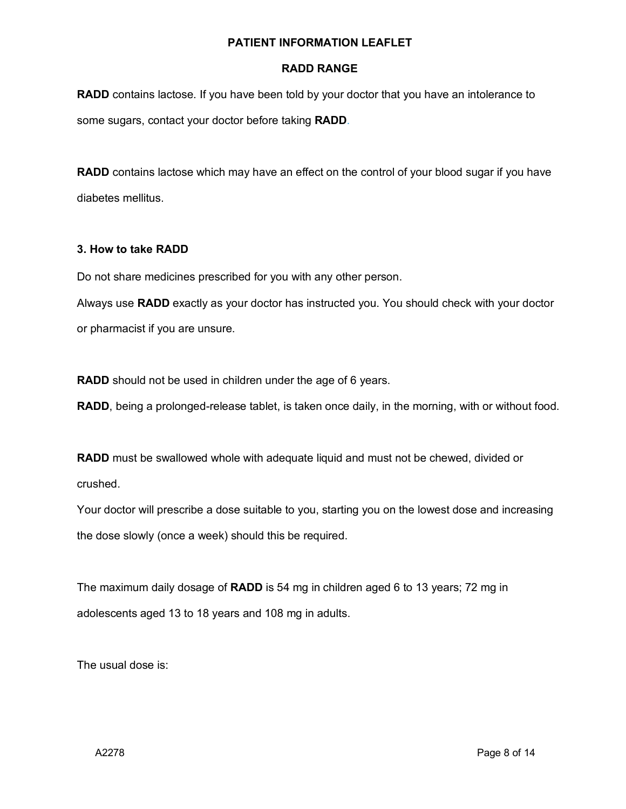### **RADD RANGE**

**RADD** contains lactose. If you have been told by your doctor that you have an intolerance to some sugars, contact your doctor before taking **RADD**.

**RADD** contains lactose which may have an effect on the control of your blood sugar if you have diabetes mellitus.

### **3. How to take RADD**

Do not share medicines prescribed for you with any other person.

Always use **RADD** exactly as your doctor has instructed you. You should check with your doctor or pharmacist if you are unsure.

**RADD** should not be used in children under the age of 6 years.

**RADD**, being a prolonged-release tablet, is taken once daily, in the morning, with or without food.

**RADD** must be swallowed whole with adequate liquid and must not be chewed, divided or crushed.

Your doctor will prescribe a dose suitable to you, starting you on the lowest dose and increasing the dose slowly (once a week) should this be required.

The maximum daily dosage of **RADD** is 54 mg in children aged 6 to 13 years; 72 mg in adolescents aged 13 to 18 years and 108 mg in adults.

The usual dose is: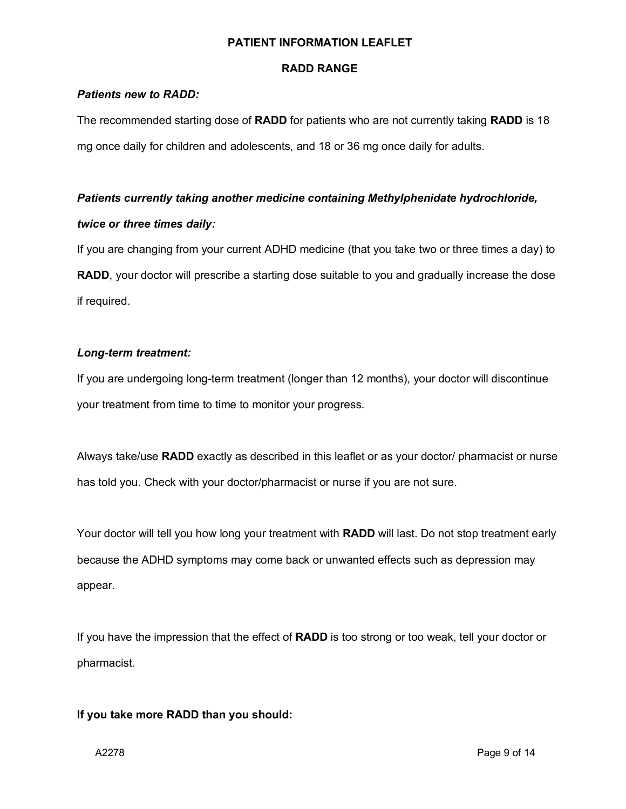### **RADD RANGE**

## *Patients new to RADD:*

The recommended starting dose of **RADD** for patients who are not currently taking **RADD** is 18 mg once daily for children and adolescents, and 18 or 36 mg once daily for adults.

# *Patients currently taking another medicine containing Methylphenidate hydrochloride,*

# *twice or three times daily:*

If you are changing from your current ADHD medicine (that you take two or three times a day) to **RADD**, your doctor will prescribe a starting dose suitable to you and gradually increase the dose if required.

# *Long-term treatment:*

If you are undergoing long-term treatment (longer than 12 months), your doctor will discontinue your treatment from time to time to monitor your progress.

Always take/use **RADD** exactly as described in this leaflet or as your doctor/ pharmacist or nurse has told you. Check with your doctor/pharmacist or nurse if you are not sure.

Your doctor will tell you how long your treatment with **RADD** will last. Do not stop treatment early because the ADHD symptoms may come back or unwanted effects such as depression may appear.

If you have the impression that the effect of **RADD** is too strong or too weak, tell your doctor or pharmacist.

# **If you take more RADD than you should:**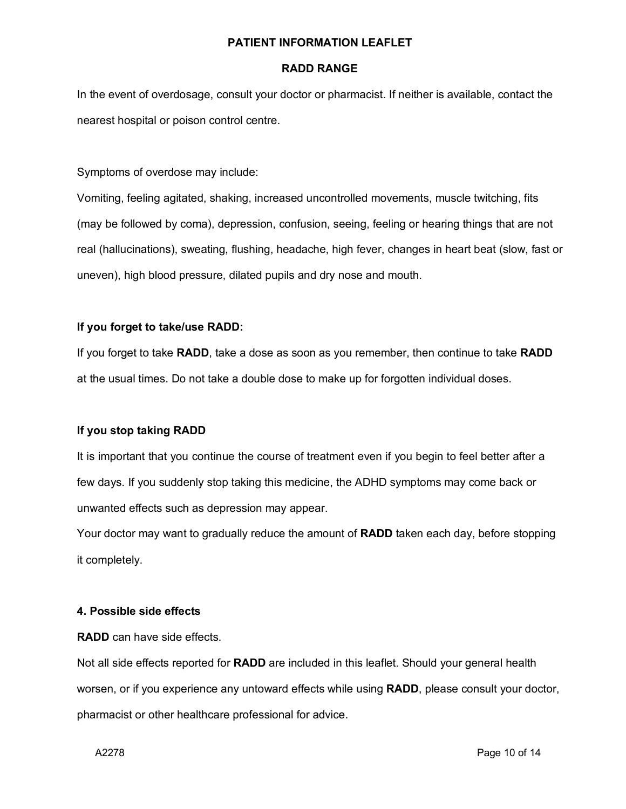### **RADD RANGE**

In the event of overdosage, consult your doctor or pharmacist. If neither is available, contact the nearest hospital or poison control centre.

Symptoms of overdose may include:

Vomiting, feeling agitated, shaking, increased uncontrolled movements, muscle twitching, fits (may be followed by coma), depression, confusion, seeing, feeling or hearing things that are not real (hallucinations), sweating, flushing, headache, high fever, changes in heart beat (slow, fast or uneven), high blood pressure, dilated pupils and dry nose and mouth.

# **If you forget to take/use RADD:**

If you forget to take **RADD**, take a dose as soon as you remember, then continue to take **RADD** at the usual times. Do not take a double dose to make up for forgotten individual doses.

# **If you stop taking RADD**

It is important that you continue the course of treatment even if you begin to feel better after a few days. If you suddenly stop taking this medicine, the ADHD symptoms may come back or unwanted effects such as depression may appear.

Your doctor may want to gradually reduce the amount of **RADD** taken each day, before stopping it completely.

### **4. Possible side effects**

**RADD** can have side effects.

Not all side effects reported for **RADD** are included in this leaflet. Should your general health worsen, or if you experience any untoward effects while using **RADD**, please consult your doctor, pharmacist or other healthcare professional for advice.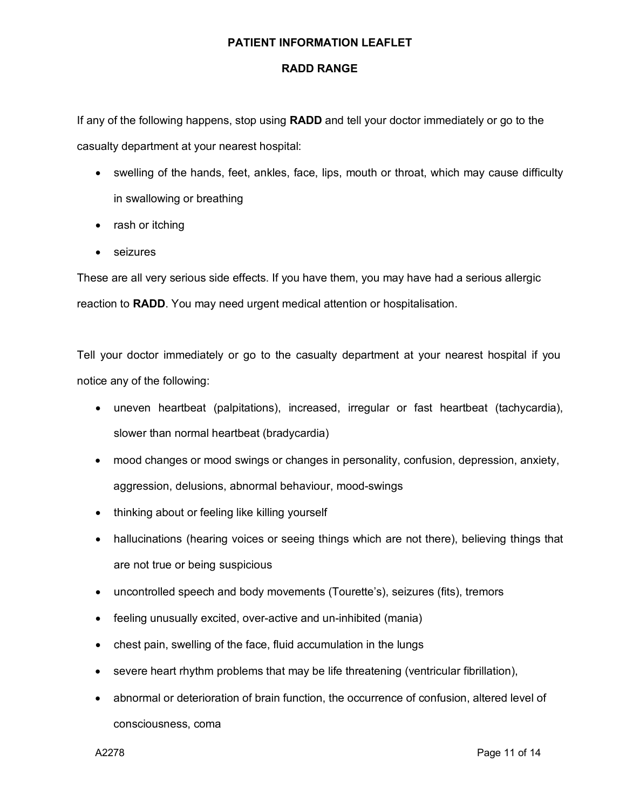### **RADD RANGE**

If any of the following happens, stop using **RADD** and tell your doctor immediately or go to the casualty department at your nearest hospital:

- swelling of the hands, feet, ankles, face, lips, mouth or throat, which may cause difficulty in swallowing or breathing
- rash or itching
- seizures

These are all very serious side effects. If you have them, you may have had a serious allergic reaction to **RADD**. You may need urgent medical attention or hospitalisation.

Tell your doctor immediately or go to the casualty department at your nearest hospital if you notice any of the following:

- uneven heartbeat (palpitations), increased, irregular or fast heartbeat (tachycardia), slower than normal heartbeat (bradycardia)
- mood changes or mood swings or changes in personality, confusion, depression, anxiety, aggression, delusions, abnormal behaviour, mood-swings
- thinking about or feeling like killing yourself
- hallucinations (hearing voices or seeing things which are not there), believing things that are not true or being suspicious
- uncontrolled speech and body movements (Tourette's), seizures (fits), tremors
- feeling unusually excited, over-active and un-inhibited (mania)
- chest pain, swelling of the face, fluid accumulation in the lungs
- severe heart rhythm problems that may be life threatening (ventricular fibrillation),
- abnormal or deterioration of brain function, the occurrence of confusion, altered level of consciousness, coma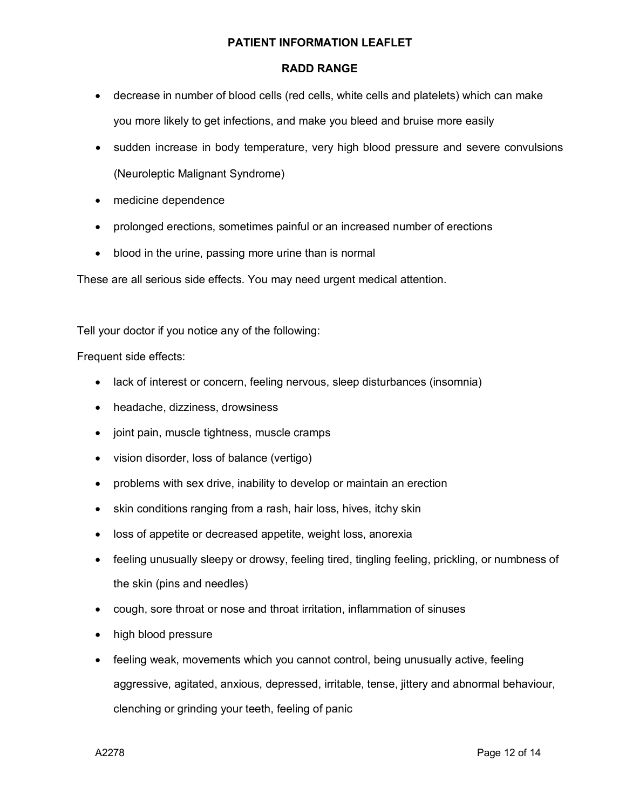### **RADD RANGE**

- decrease in number of blood cells (red cells, white cells and platelets) which can make you more likely to get infections, and make you bleed and bruise more easily
- sudden increase in body temperature, very high blood pressure and severe convulsions (Neuroleptic Malignant Syndrome)
- medicine dependence
- prolonged erections, sometimes painful or an increased number of erections
- blood in the urine, passing more urine than is normal

These are all serious side effects. You may need urgent medical attention.

Tell your doctor if you notice any of the following:

Frequent side effects:

- lack of interest or concern, feeling nervous, sleep disturbances (insomnia)
- headache, dizziness, drowsiness
- joint pain, muscle tightness, muscle cramps
- vision disorder, loss of balance (vertigo)
- problems with sex drive, inability to develop or maintain an erection
- skin conditions ranging from a rash, hair loss, hives, itchy skin
- loss of appetite or decreased appetite, weight loss, anorexia
- feeling unusually sleepy or drowsy, feeling tired, tingling feeling, prickling, or numbness of the skin (pins and needles)
- cough, sore throat or nose and throat irritation, inflammation of sinuses
- high blood pressure
- feeling weak, movements which you cannot control, being unusually active, feeling aggressive, agitated, anxious, depressed, irritable, tense, jittery and abnormal behaviour, clenching or grinding your teeth, feeling of panic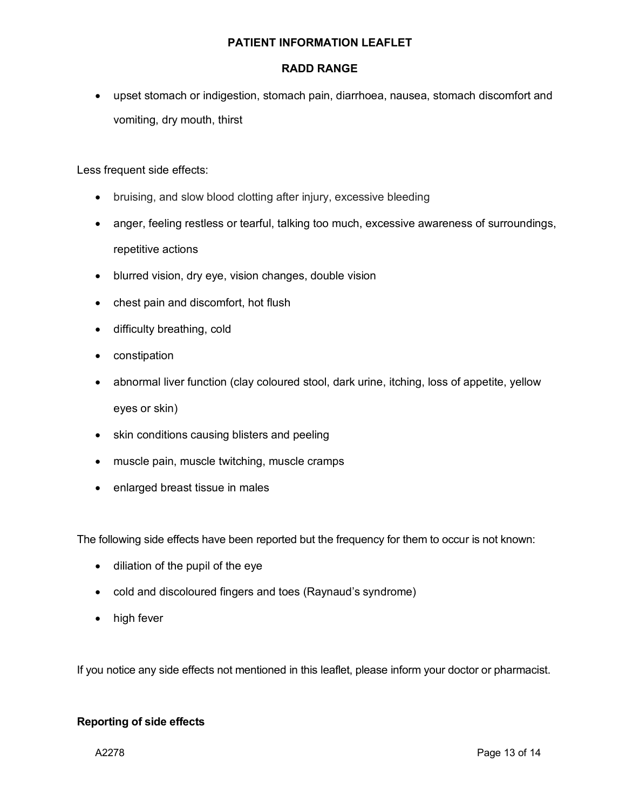### **RADD RANGE**

• upset stomach or indigestion, stomach pain, diarrhoea, nausea, stomach discomfort and vomiting, dry mouth, thirst

Less frequent side effects:

- bruising, and slow blood clotting after injury, excessive bleeding
- anger, feeling restless or tearful, talking too much, excessive awareness of surroundings, repetitive actions
- blurred vision, dry eye, vision changes, double vision
- chest pain and discomfort, hot flush
- difficulty breathing, cold
- constipation
- abnormal liver function (clay coloured stool, dark urine, itching, loss of appetite, yellow eyes or skin)
- skin conditions causing blisters and peeling
- muscle pain, muscle twitching, muscle cramps
- enlarged breast tissue in males

The following side effects have been reported but the frequency for them to occur is not known:

- diliation of the pupil of the eye
- cold and discoloured fingers and toes (Raynaud's syndrome)
- high fever

If you notice any side effects not mentioned in this leaflet, please inform your doctor or pharmacist.

### **Reporting of side effects**